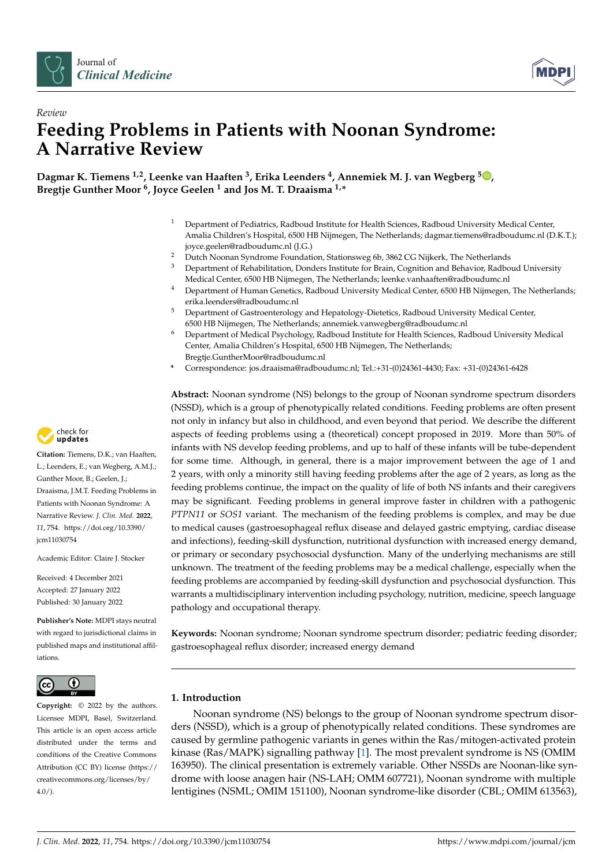



# *Review* **Feeding Problems in Patients with Noonan Syndrome: A Narrative Review**

**Dagmar K. Tiemens 1,2, Leenke van Haaften <sup>3</sup> , Erika Leenders <sup>4</sup> , Annemiek M. J. van Wegberg [5](https://orcid.org/0000-0002-9402-4833) , Bregtje Gunther Moor <sup>6</sup> , Joyce Geelen <sup>1</sup> and Jos M. T. Draaisma 1,\***

- <sup>1</sup> Department of Pediatrics, Radboud Institute for Health Sciences, Radboud University Medical Center, Amalia Children's Hospital, 6500 HB Nijmegen, The Netherlands; dagmar.tiemens@radboudumc.nl (D.K.T.); joyce.geelen@radboudumc.nl (J.G.)
- <sup>2</sup> Dutch Noonan Syndrome Foundation, Stationsweg 6b, 3862 CG Nijkerk, The Netherlands<br><sup>3</sup> Department of Rehabilitation, Denders Institute for Brain, Cognition and Behavier, Radho
- <sup>3</sup> Department of Rehabilitation, Donders Institute for Brain, Cognition and Behavior, Radboud University Medical Center, 6500 HB Nijmegen, The Netherlands; leenke.vanhaaften@radboudumc.nl
- <sup>4</sup> Department of Human Genetics, Radboud University Medical Center, 6500 HB Nijmegen, The Netherlands; erika.leenders@radboudumc.nl
- <sup>5</sup> Department of Gastroenterology and Hepatology-Dietetics, Radboud University Medical Center, 6500 HB Nijmegen, The Netherlands; annemiek.vanwegberg@radboudumc.nl
- <sup>6</sup> Department of Medical Psychology, Radboud Institute for Health Sciences, Radboud University Medical Center, Amalia Children's Hospital, 6500 HB Nijmegen, The Netherlands; Bregtje.GuntherMoor@radboudumc.nl
- **\*** Correspondence: jos.draaisma@radboudumc.nl; Tel.:+31-(0)24361-4430; Fax: +31-(0)24361-6428

**Abstract:** Noonan syndrome (NS) belongs to the group of Noonan syndrome spectrum disorders (NSSD), which is a group of phenotypically related conditions. Feeding problems are often present not only in infancy but also in childhood, and even beyond that period. We describe the different aspects of feeding problems using a (theoretical) concept proposed in 2019. More than 50% of infants with NS develop feeding problems, and up to half of these infants will be tube-dependent for some time. Although, in general, there is a major improvement between the age of 1 and 2 years, with only a minority still having feeding problems after the age of 2 years, as long as the feeding problems continue, the impact on the quality of life of both NS infants and their caregivers may be significant. Feeding problems in general improve faster in children with a pathogenic *PTPN11* or *SOS1* variant. The mechanism of the feeding problems is complex, and may be due to medical causes (gastroesophageal reflux disease and delayed gastric emptying, cardiac disease and infections), feeding-skill dysfunction, nutritional dysfunction with increased energy demand, or primary or secondary psychosocial dysfunction. Many of the underlying mechanisms are still unknown. The treatment of the feeding problems may be a medical challenge, especially when the feeding problems are accompanied by feeding-skill dysfunction and psychosocial dysfunction. This warrants a multidisciplinary intervention including psychology, nutrition, medicine, speech language pathology and occupational therapy.

**Keywords:** Noonan syndrome; Noonan syndrome spectrum disorder; pediatric feeding disorder; gastroesophageal reflux disorder; increased energy demand

# **1. Introduction**

Noonan syndrome (NS) belongs to the group of Noonan syndrome spectrum disorders (NSSD), which is a group of phenotypically related conditions. These syndromes are caused by germline pathogenic variants in genes within the Ras/mitogen-activated protein kinase (Ras/MAPK) signalling pathway [\[1\]](#page-7-0). The most prevalent syndrome is NS (OMIM 163950). The clinical presentation is extremely variable. Other NSSDs are Noonan-like syndrome with loose anagen hair (NS-LAH; OMM 607721), Noonan syndrome with multiple lentigines (NSML; OMIM 151100), Noonan syndrome-like disorder (CBL; OMIM 613563),



**Citation:** Tiemens, D.K.; van Haaften, L.; Leenders, E.; van Wegberg, A.M.J.; Gunther Moor, B.; Geelen, J.; Draaisma, J.M.T. Feeding Problems in Patients with Noonan Syndrome: A Narrative Review. *J. Clin. Med.* **2022**, *11*, 754. [https://doi.org/10.3390/](https://doi.org/10.3390/jcm11030754) [jcm11030754](https://doi.org/10.3390/jcm11030754)

Academic Editor: Claire J. Stocker

Received: 4 December 2021 Accepted: 27 January 2022 Published: 30 January 2022

**Publisher's Note:** MDPI stays neutral with regard to jurisdictional claims in published maps and institutional affiliations.



**Copyright:** © 2022 by the authors. Licensee MDPI, Basel, Switzerland. This article is an open access article distributed under the terms and conditions of the Creative Commons Attribution (CC BY) license [\(https://](https://creativecommons.org/licenses/by/4.0/) [creativecommons.org/licenses/by/](https://creativecommons.org/licenses/by/4.0/)  $4.0/$ ).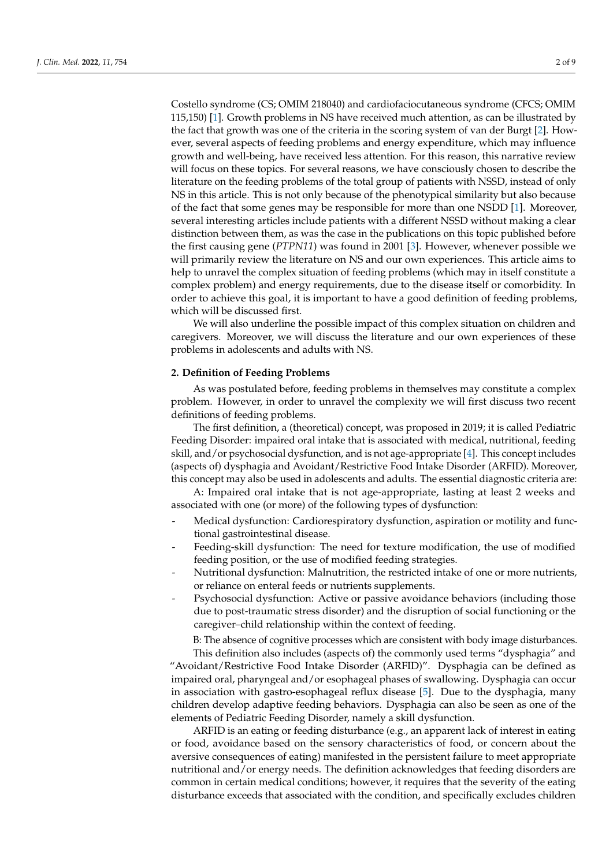Costello syndrome (CS; OMIM 218040) and cardiofaciocutaneous syndrome (CFCS; OMIM 115,150) [\[1\]](#page-7-0). Growth problems in NS have received much attention, as can be illustrated by the fact that growth was one of the criteria in the scoring system of van der Burgt [\[2\]](#page-7-1). However, several aspects of feeding problems and energy expenditure, which may influence growth and well-being, have received less attention. For this reason, this narrative review will focus on these topics. For several reasons, we have consciously chosen to describe the literature on the feeding problems of the total group of patients with NSSD, instead of only NS in this article. This is not only because of the phenotypical similarity but also because of the fact that some genes may be responsible for more than one NSDD [\[1\]](#page-7-0). Moreover, several interesting articles include patients with a different NSSD without making a clear distinction between them, as was the case in the publications on this topic published before the first causing gene (*PTPN11*) was found in 2001 [\[3\]](#page-7-2). However, whenever possible we will primarily review the literature on NS and our own experiences. This article aims to help to unravel the complex situation of feeding problems (which may in itself constitute a complex problem) and energy requirements, due to the disease itself or comorbidity. In order to achieve this goal, it is important to have a good definition of feeding problems, which will be discussed first.

We will also underline the possible impact of this complex situation on children and caregivers. Moreover, we will discuss the literature and our own experiences of these problems in adolescents and adults with NS.

# **2. Definition of Feeding Problems**

As was postulated before, feeding problems in themselves may constitute a complex problem. However, in order to unravel the complexity we will first discuss two recent definitions of feeding problems.

The first definition, a (theoretical) concept, was proposed in 2019; it is called Pediatric Feeding Disorder: impaired oral intake that is associated with medical, nutritional, feeding skill, and/or psychosocial dysfunction, and is not age-appropriate [\[4\]](#page-7-3). This concept includes (aspects of) dysphagia and Avoidant/Restrictive Food Intake Disorder (ARFID). Moreover, this concept may also be used in adolescents and adults. The essential diagnostic criteria are:

A: Impaired oral intake that is not age-appropriate, lasting at least 2 weeks and associated with one (or more) of the following types of dysfunction:

- Medical dysfunction: Cardiorespiratory dysfunction, aspiration or motility and functional gastrointestinal disease.
- Feeding-skill dysfunction: The need for texture modification, the use of modified feeding position, or the use of modified feeding strategies.
- Nutritional dysfunction: Malnutrition, the restricted intake of one or more nutrients, or reliance on enteral feeds or nutrients supplements.
- Psychosocial dysfunction: Active or passive avoidance behaviors (including those due to post-traumatic stress disorder) and the disruption of social functioning or the caregiver–child relationship within the context of feeding.

B: The absence of cognitive processes which are consistent with body image disturbances. This definition also includes (aspects of) the commonly used terms "dysphagia" and "Avoidant/Restrictive Food Intake Disorder (ARFID)". Dysphagia can be defined as impaired oral, pharyngeal and/or esophageal phases of swallowing. Dysphagia can occur in association with gastro-esophageal reflux disease [\[5\]](#page-7-4). Due to the dysphagia, many children develop adaptive feeding behaviors. Dysphagia can also be seen as one of the elements of Pediatric Feeding Disorder, namely a skill dysfunction.

ARFID is an eating or feeding disturbance (e.g., an apparent lack of interest in eating or food, avoidance based on the sensory characteristics of food, or concern about the aversive consequences of eating) manifested in the persistent failure to meet appropriate nutritional and/or energy needs. The definition acknowledges that feeding disorders are common in certain medical conditions; however, it requires that the severity of the eating disturbance exceeds that associated with the condition, and specifically excludes children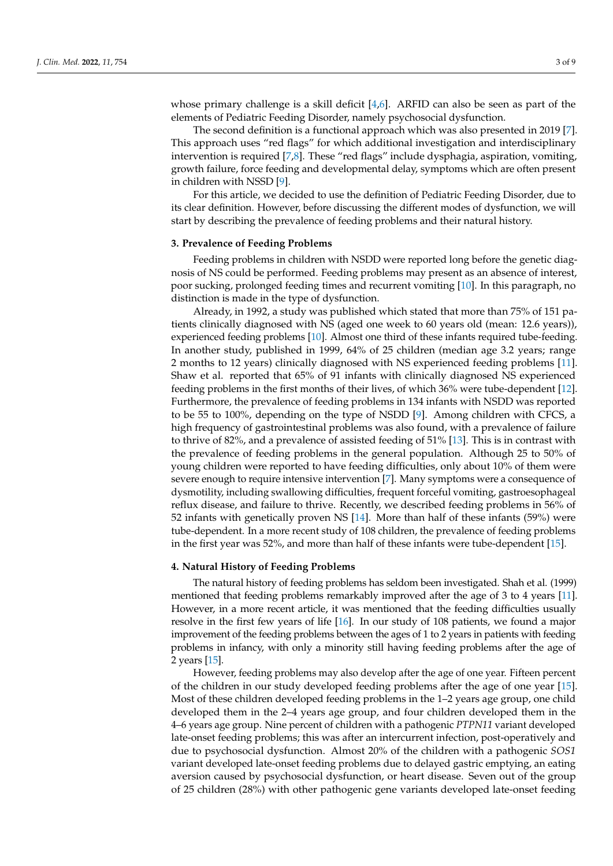whose primary challenge is a skill deficit  $[4,6]$  $[4,6]$ . ARFID can also be seen as part of the elements of Pediatric Feeding Disorder, namely psychosocial dysfunction.

The second definition is a functional approach which was also presented in 2019 [\[7\]](#page-7-6). This approach uses "red flags" for which additional investigation and interdisciplinary intervention is required [\[7](#page-7-6)[,8\]](#page-7-7). These "red flags" include dysphagia, aspiration, vomiting, growth failure, force feeding and developmental delay, symptoms which are often present in children with NSSD [\[9\]](#page-7-8).

For this article, we decided to use the definition of Pediatric Feeding Disorder, due to its clear definition. However, before discussing the different modes of dysfunction, we will start by describing the prevalence of feeding problems and their natural history.

#### **3. Prevalence of Feeding Problems**

Feeding problems in children with NSDD were reported long before the genetic diagnosis of NS could be performed. Feeding problems may present as an absence of interest, poor sucking, prolonged feeding times and recurrent vomiting [\[10\]](#page-7-9). In this paragraph, no distinction is made in the type of dysfunction.

Already, in 1992, a study was published which stated that more than 75% of 151 patients clinically diagnosed with NS (aged one week to 60 years old (mean: 12.6 years)), experienced feeding problems [\[10\]](#page-7-9). Almost one third of these infants required tube-feeding. In another study, published in 1999, 64% of 25 children (median age 3.2 years; range 2 months to 12 years) clinically diagnosed with NS experienced feeding problems [\[11\]](#page-7-10). Shaw et al. reported that 65% of 91 infants with clinically diagnosed NS experienced feeding problems in the first months of their lives, of which 36% were tube-dependent [\[12\]](#page-7-11). Furthermore, the prevalence of feeding problems in 134 infants with NSDD was reported to be 55 to 100%, depending on the type of NSDD [\[9\]](#page-7-8). Among children with CFCS, a high frequency of gastrointestinal problems was also found, with a prevalence of failure to thrive of 82%, and a prevalence of assisted feeding of 51% [\[13\]](#page-7-12). This is in contrast with the prevalence of feeding problems in the general population. Although 25 to 50% of young children were reported to have feeding difficulties, only about 10% of them were severe enough to require intensive intervention [\[7\]](#page-7-6). Many symptoms were a consequence of dysmotility, including swallowing difficulties, frequent forceful vomiting, gastroesophageal reflux disease, and failure to thrive. Recently, we described feeding problems in 56% of 52 infants with genetically proven NS [\[14\]](#page-7-13). More than half of these infants (59%) were tube-dependent. In a more recent study of 108 children, the prevalence of feeding problems in the first year was 52%, and more than half of these infants were tube-dependent [\[15\]](#page-7-14).

#### **4. Natural History of Feeding Problems**

The natural history of feeding problems has seldom been investigated. Shah et al. (1999) mentioned that feeding problems remarkably improved after the age of 3 to 4 years [\[11\]](#page-7-10). However, in a more recent article, it was mentioned that the feeding difficulties usually resolve in the first few years of life [\[16\]](#page-7-15). In our study of 108 patients, we found a major improvement of the feeding problems between the ages of 1 to 2 years in patients with feeding problems in infancy, with only a minority still having feeding problems after the age of 2 years [\[15\]](#page-7-14).

However, feeding problems may also develop after the age of one year. Fifteen percent of the children in our study developed feeding problems after the age of one year [\[15\]](#page-7-14). Most of these children developed feeding problems in the 1–2 years age group, one child developed them in the 2–4 years age group, and four children developed them in the 4–6 years age group. Nine percent of children with a pathogenic *PTPN11* variant developed late-onset feeding problems; this was after an intercurrent infection, post-operatively and due to psychosocial dysfunction. Almost 20% of the children with a pathogenic *SOS1* variant developed late-onset feeding problems due to delayed gastric emptying, an eating aversion caused by psychosocial dysfunction, or heart disease. Seven out of the group of 25 children (28%) with other pathogenic gene variants developed late-onset feeding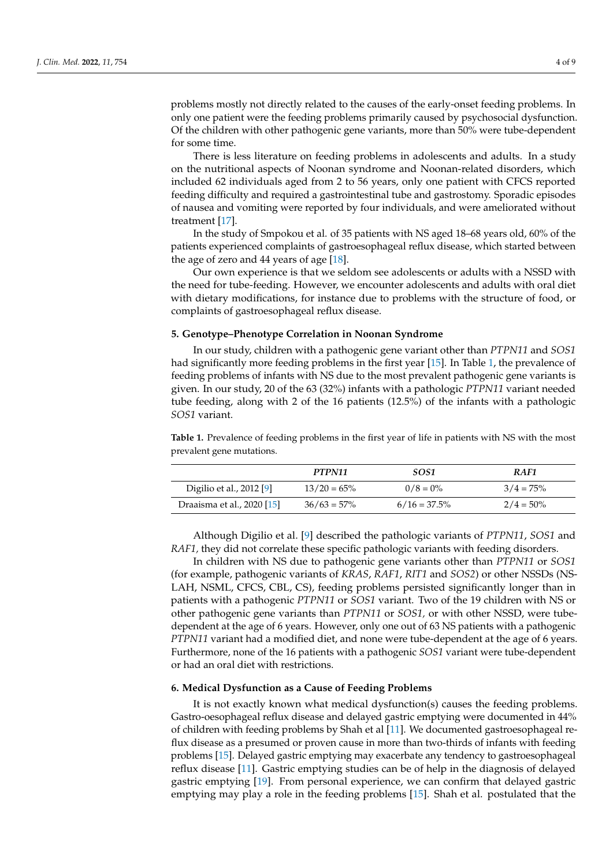problems mostly not directly related to the causes of the early-onset feeding problems. In only one patient were the feeding problems primarily caused by psychosocial dysfunction. Of the children with other pathogenic gene variants, more than 50% were tube-dependent for some time.

There is less literature on feeding problems in adolescents and adults. In a study on the nutritional aspects of Noonan syndrome and Noonan-related disorders, which included 62 individuals aged from 2 to 56 years, only one patient with CFCS reported feeding difficulty and required a gastrointestinal tube and gastrostomy. Sporadic episodes of nausea and vomiting were reported by four individuals, and were ameliorated without treatment [\[17\]](#page-7-16).

In the study of Smpokou et al. of 35 patients with NS aged 18–68 years old, 60% of the patients experienced complaints of gastroesophageal reflux disease, which started between the age of zero and 44 years of age [\[18\]](#page-7-17).

Our own experience is that we seldom see adolescents or adults with a NSSD with the need for tube-feeding. However, we encounter adolescents and adults with oral diet with dietary modifications, for instance due to problems with the structure of food, or complaints of gastroesophageal reflux disease.

#### **5. Genotype–Phenotype Correlation in Noonan Syndrome**

In our study, children with a pathogenic gene variant other than *PTPN11* and *SOS1* had significantly more feeding problems in the first year [\[15\]](#page-7-14). In Table [1,](#page-3-0) the prevalence of feeding problems of infants with NS due to the most prevalent pathogenic gene variants is given. In our study, 20 of the 63 (32%) infants with a pathologic *PTPN11* variant needed tube feeding, along with 2 of the 16 patients (12.5%) of the infants with a pathologic *SOS1* variant.

<span id="page-3-0"></span>**Table 1.** Prevalence of feeding problems in the first year of life in patients with NS with the most prevalent gene mutations.

|                            | PTPN11         | SOS1            | RAF1         |
|----------------------------|----------------|-----------------|--------------|
| Digilio et al., 2012 [9]   | $13/20 = 65\%$ | $0/8 = 0\%$     | $3/4 = 75\%$ |
| Draaisma et al., 2020 [15] | $36/63 = 57\%$ | $6/16 = 37.5\%$ | $2/4 = 50\%$ |

Although Digilio et al. [\[9\]](#page-7-8) described the pathologic variants of *PTPN11*, *SOS1* and *RAF1,* they did not correlate these specific pathologic variants with feeding disorders.

In children with NS due to pathogenic gene variants other than *PTPN11* or *SOS1* (for example, pathogenic variants of *KRAS*, *RAF1*, *RIT1* and *SOS2*) or other NSSDs (NS-LAH, NSML, CFCS, CBL, CS), feeding problems persisted significantly longer than in patients with a pathogenic *PTPN11* or *SOS1* variant. Two of the 19 children with NS or other pathogenic gene variants than *PTPN11* or *SOS1,* or with other NSSD, were tubedependent at the age of 6 years. However, only one out of 63 NS patients with a pathogenic *PTPN11* variant had a modified diet, and none were tube-dependent at the age of 6 years. Furthermore, none of the 16 patients with a pathogenic *SOS1* variant were tube-dependent or had an oral diet with restrictions.

#### **6. Medical Dysfunction as a Cause of Feeding Problems**

It is not exactly known what medical dysfunction(s) causes the feeding problems. Gastro-oesophageal reflux disease and delayed gastric emptying were documented in 44% of children with feeding problems by Shah et al [\[11\]](#page-7-10). We documented gastroesophageal reflux disease as a presumed or proven cause in more than two-thirds of infants with feeding problems [\[15\]](#page-7-14). Delayed gastric emptying may exacerbate any tendency to gastroesophageal reflux disease [\[11\]](#page-7-10). Gastric emptying studies can be of help in the diagnosis of delayed gastric emptying [\[19\]](#page-7-18). From personal experience, we can confirm that delayed gastric emptying may play a role in the feeding problems [\[15\]](#page-7-14). Shah et al. postulated that the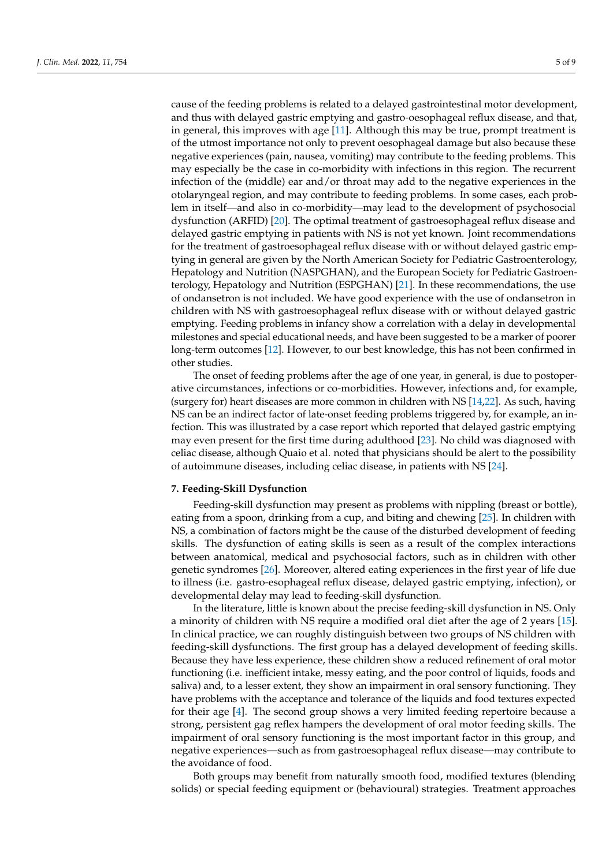cause of the feeding problems is related to a delayed gastrointestinal motor development, and thus with delayed gastric emptying and gastro-oesophageal reflux disease, and that, in general, this improves with age [\[11\]](#page-7-10). Although this may be true, prompt treatment is of the utmost importance not only to prevent oesophageal damage but also because these negative experiences (pain, nausea, vomiting) may contribute to the feeding problems. This may especially be the case in co-morbidity with infections in this region. The recurrent infection of the (middle) ear and/or throat may add to the negative experiences in the otolaryngeal region, and may contribute to feeding problems. In some cases, each problem in itself—and also in co-morbidity—may lead to the development of psychosocial dysfunction (ARFID) [\[20\]](#page-7-19). The optimal treatment of gastroesophageal reflux disease and delayed gastric emptying in patients with NS is not yet known. Joint recommendations for the treatment of gastroesophageal reflux disease with or without delayed gastric emptying in general are given by the North American Society for Pediatric Gastroenterology, Hepatology and Nutrition (NASPGHAN), and the European Society for Pediatric Gastroenterology, Hepatology and Nutrition (ESPGHAN) [\[21\]](#page-7-20). In these recommendations, the use of ondansetron is not included. We have good experience with the use of ondansetron in children with NS with gastroesophageal reflux disease with or without delayed gastric emptying. Feeding problems in infancy show a correlation with a delay in developmental milestones and special educational needs, and have been suggested to be a marker of poorer long-term outcomes [\[12\]](#page-7-11). However, to our best knowledge, this has not been confirmed in other studies.

The onset of feeding problems after the age of one year, in general, is due to postoperative circumstances, infections or co-morbidities. However, infections and, for example, (surgery for) heart diseases are more common in children with NS [\[14](#page-7-13)[,22\]](#page-7-21). As such, having NS can be an indirect factor of late-onset feeding problems triggered by, for example, an infection. This was illustrated by a case report which reported that delayed gastric emptying may even present for the first time during adulthood [\[23\]](#page-7-22). No child was diagnosed with celiac disease, although Quaio et al. noted that physicians should be alert to the possibility of autoimmune diseases, including celiac disease, in patients with NS [\[24\]](#page-7-23).

#### **7. Feeding-Skill Dysfunction**

Feeding-skill dysfunction may present as problems with nippling (breast or bottle), eating from a spoon, drinking from a cup, and biting and chewing [\[25\]](#page-7-24). In children with NS, a combination of factors might be the cause of the disturbed development of feeding skills. The dysfunction of eating skills is seen as a result of the complex interactions between anatomical, medical and psychosocial factors, such as in children with other genetic syndromes [\[26\]](#page-8-0). Moreover, altered eating experiences in the first year of life due to illness (i.e. gastro-esophageal reflux disease, delayed gastric emptying, infection), or developmental delay may lead to feeding-skill dysfunction.

In the literature, little is known about the precise feeding-skill dysfunction in NS. Only a minority of children with NS require a modified oral diet after the age of 2 years [\[15\]](#page-7-14). In clinical practice, we can roughly distinguish between two groups of NS children with feeding-skill dysfunctions. The first group has a delayed development of feeding skills. Because they have less experience, these children show a reduced refinement of oral motor functioning (i.e. inefficient intake, messy eating, and the poor control of liquids, foods and saliva) and, to a lesser extent, they show an impairment in oral sensory functioning. They have problems with the acceptance and tolerance of the liquids and food textures expected for their age [\[4\]](#page-7-3). The second group shows a very limited feeding repertoire because a strong, persistent gag reflex hampers the development of oral motor feeding skills. The impairment of oral sensory functioning is the most important factor in this group, and negative experiences—such as from gastroesophageal reflux disease—may contribute to the avoidance of food.

Both groups may benefit from naturally smooth food, modified textures (blending solids) or special feeding equipment or (behavioural) strategies. Treatment approaches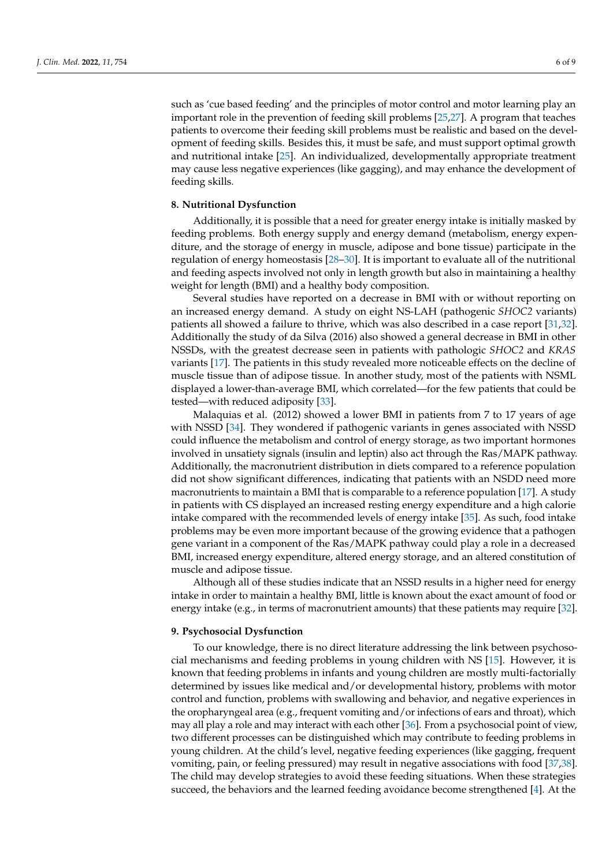such as 'cue based feeding' and the principles of motor control and motor learning play an important role in the prevention of feeding skill problems [\[25,](#page-7-24)[27\]](#page-8-1). A program that teaches patients to overcome their feeding skill problems must be realistic and based on the development of feeding skills. Besides this, it must be safe, and must support optimal growth and nutritional intake [\[25\]](#page-7-24). An individualized, developmentally appropriate treatment may cause less negative experiences (like gagging), and may enhance the development of feeding skills.

## **8. Nutritional Dysfunction**

Additionally, it is possible that a need for greater energy intake is initially masked by feeding problems. Both energy supply and energy demand (metabolism, energy expenditure, and the storage of energy in muscle, adipose and bone tissue) participate in the regulation of energy homeostasis [\[28](#page-8-2)[–30\]](#page-8-3). It is important to evaluate all of the nutritional and feeding aspects involved not only in length growth but also in maintaining a healthy weight for length (BMI) and a healthy body composition.

Several studies have reported on a decrease in BMI with or without reporting on an increased energy demand. A study on eight NS-LAH (pathogenic *SHOC2* variants) patients all showed a failure to thrive, which was also described in a case report [\[31,](#page-8-4)[32\]](#page-8-5). Additionally the study of da Silva (2016) also showed a general decrease in BMI in other NSSDs, with the greatest decrease seen in patients with pathologic *SHOC2* and *KRAS* variants [\[17\]](#page-7-16). The patients in this study revealed more noticeable effects on the decline of muscle tissue than of adipose tissue. In another study, most of the patients with NSML displayed a lower-than-average BMI, which correlated—for the few patients that could be tested—with reduced adiposity [\[33\]](#page-8-6).

Malaquias et al. (2012) showed a lower BMI in patients from 7 to 17 years of age with NSSD [\[34\]](#page-8-7). They wondered if pathogenic variants in genes associated with NSSD could influence the metabolism and control of energy storage, as two important hormones involved in unsatiety signals (insulin and leptin) also act through the Ras/MAPK pathway. Additionally, the macronutrient distribution in diets compared to a reference population did not show significant differences, indicating that patients with an NSDD need more macronutrients to maintain a BMI that is comparable to a reference population [\[17\]](#page-7-16). A study in patients with CS displayed an increased resting energy expenditure and a high calorie intake compared with the recommended levels of energy intake [\[35\]](#page-8-8). As such, food intake problems may be even more important because of the growing evidence that a pathogen gene variant in a component of the Ras/MAPK pathway could play a role in a decreased BMI, increased energy expenditure, altered energy storage, and an altered constitution of muscle and adipose tissue.

Although all of these studies indicate that an NSSD results in a higher need for energy intake in order to maintain a healthy BMI, little is known about the exact amount of food or energy intake (e.g., in terms of macronutrient amounts) that these patients may require [\[32\]](#page-8-5).

#### **9. Psychosocial Dysfunction**

To our knowledge, there is no direct literature addressing the link between psychosocial mechanisms and feeding problems in young children with NS [\[15\]](#page-7-14). However, it is known that feeding problems in infants and young children are mostly multi-factorially determined by issues like medical and/or developmental history, problems with motor control and function, problems with swallowing and behavior, and negative experiences in the oropharyngeal area (e.g., frequent vomiting and/or infections of ears and throat), which may all play a role and may interact with each other [\[36\]](#page-8-9). From a psychosocial point of view, two different processes can be distinguished which may contribute to feeding problems in young children. At the child's level, negative feeding experiences (like gagging, frequent vomiting, pain, or feeling pressured) may result in negative associations with food [\[37](#page-8-10)[,38\]](#page-8-11). The child may develop strategies to avoid these feeding situations. When these strategies succeed, the behaviors and the learned feeding avoidance become strengthened [\[4\]](#page-7-3). At the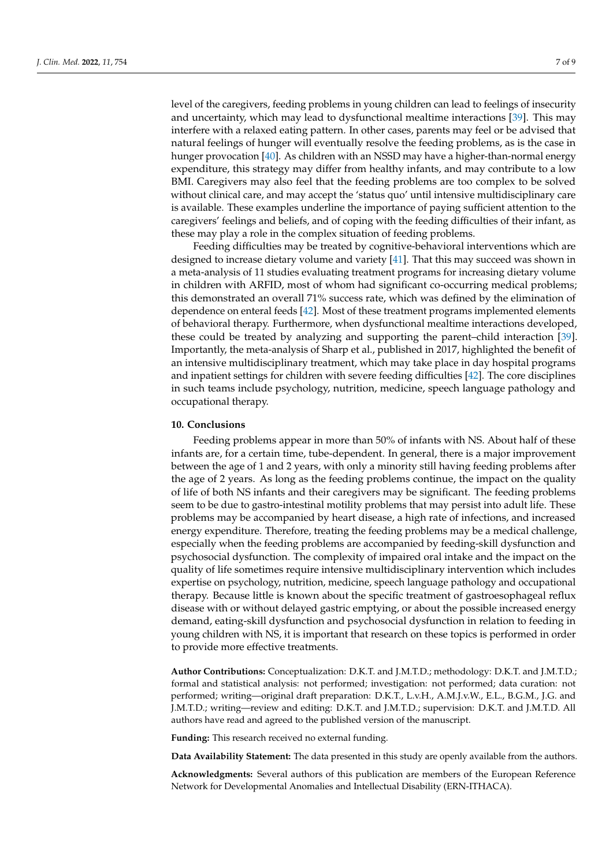level of the caregivers, feeding problems in young children can lead to feelings of insecurity and uncertainty, which may lead to dysfunctional mealtime interactions [\[39\]](#page-8-12). This may interfere with a relaxed eating pattern. In other cases, parents may feel or be advised that natural feelings of hunger will eventually resolve the feeding problems, as is the case in hunger provocation [\[40\]](#page-8-13). As children with an NSSD may have a higher-than-normal energy expenditure, this strategy may differ from healthy infants, and may contribute to a low BMI. Caregivers may also feel that the feeding problems are too complex to be solved without clinical care, and may accept the 'status quo' until intensive multidisciplinary care is available. These examples underline the importance of paying sufficient attention to the caregivers' feelings and beliefs, and of coping with the feeding difficulties of their infant, as these may play a role in the complex situation of feeding problems.

Feeding difficulties may be treated by cognitive-behavioral interventions which are designed to increase dietary volume and variety [\[41\]](#page-8-14). That this may succeed was shown in a meta-analysis of 11 studies evaluating treatment programs for increasing dietary volume in children with ARFID, most of whom had significant co-occurring medical problems; this demonstrated an overall 71% success rate, which was defined by the elimination of dependence on enteral feeds [\[42\]](#page-8-15). Most of these treatment programs implemented elements of behavioral therapy. Furthermore, when dysfunctional mealtime interactions developed, these could be treated by analyzing and supporting the parent–child interaction [\[39\]](#page-8-12). Importantly, the meta-analysis of Sharp et al., published in 2017, highlighted the benefit of an intensive multidisciplinary treatment, which may take place in day hospital programs and inpatient settings for children with severe feeding difficulties [\[42\]](#page-8-15). The core disciplines in such teams include psychology, nutrition, medicine, speech language pathology and occupational therapy.

## **10. Conclusions**

Feeding problems appear in more than 50% of infants with NS. About half of these infants are, for a certain time, tube-dependent. In general, there is a major improvement between the age of 1 and 2 years, with only a minority still having feeding problems after the age of 2 years. As long as the feeding problems continue, the impact on the quality of life of both NS infants and their caregivers may be significant. The feeding problems seem to be due to gastro-intestinal motility problems that may persist into adult life. These problems may be accompanied by heart disease, a high rate of infections, and increased energy expenditure. Therefore, treating the feeding problems may be a medical challenge, especially when the feeding problems are accompanied by feeding-skill dysfunction and psychosocial dysfunction. The complexity of impaired oral intake and the impact on the quality of life sometimes require intensive multidisciplinary intervention which includes expertise on psychology, nutrition, medicine, speech language pathology and occupational therapy. Because little is known about the specific treatment of gastroesophageal reflux disease with or without delayed gastric emptying, or about the possible increased energy demand, eating-skill dysfunction and psychosocial dysfunction in relation to feeding in young children with NS, it is important that research on these topics is performed in order to provide more effective treatments.

**Author Contributions:** Conceptualization: D.K.T. and J.M.T.D.; methodology: D.K.T. and J.M.T.D.; formal and statistical analysis: not performed; investigation: not performed; data curation: not performed; writing—original draft preparation: D.K.T., L.v.H., A.M.J.v.W., E.L., B.G.M., J.G. and J.M.T.D.; writing—review and editing: D.K.T. and J.M.T.D.; supervision: D.K.T. and J.M.T.D. All authors have read and agreed to the published version of the manuscript.

**Funding:** This research received no external funding.

**Data Availability Statement:** The data presented in this study are openly available from the authors.

**Acknowledgments:** Several authors of this publication are members of the European Reference Network for Developmental Anomalies and Intellectual Disability (ERN-ITHACA).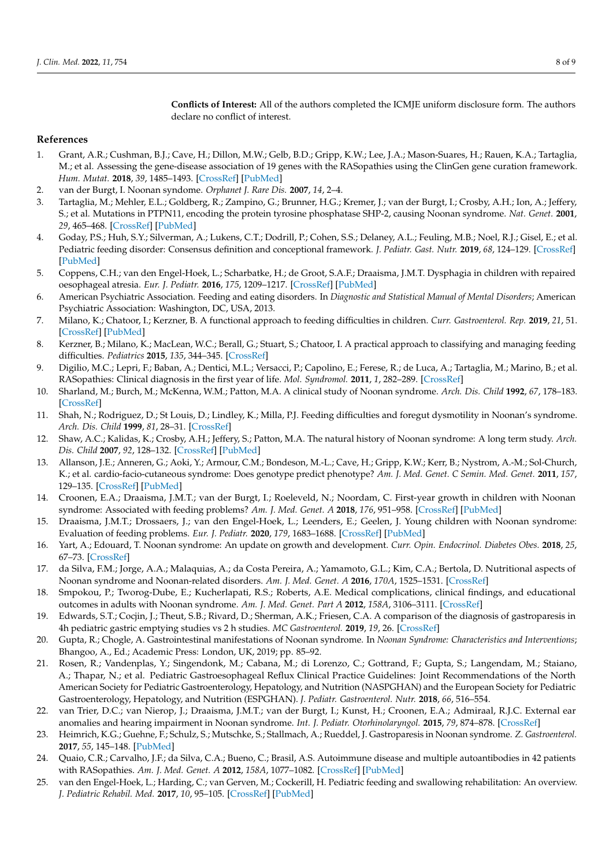**Conflicts of Interest:** All of the authors completed the ICMJE uniform disclosure form. The authors declare no conflict of interest.

## **References**

- <span id="page-7-0"></span>1. Grant, A.R.; Cushman, B.J.; Cave, H.; Dillon, M.W.; Gelb, B.D.; Gripp, K.W.; Lee, J.A.; Mason-Suares, H.; Rauen, K.A.; Tartaglia, M.; et al. Assessing the gene-disease association of 19 genes with the RASopathies using the ClinGen gene curation framework. *Hum. Mutat.* **2018**, *39*, 1485–1493. [\[CrossRef\]](http://doi.org/10.1002/humu.23624) [\[PubMed\]](http://www.ncbi.nlm.nih.gov/pubmed/30311384)
- <span id="page-7-1"></span>2. van der Burgt, I. Noonan syndome. *Orphanet J. Rare Dis.* **2007**, *14*, 2–4.
- <span id="page-7-2"></span>3. Tartaglia, M.; Mehler, E.L.; Goldberg, R.; Zampino, G.; Brunner, H.G.; Kremer, J.; van der Burgt, I.; Crosby, A.H.; Ion, A.; Jeffery, S.; et al. Mutations in PTPN11, encoding the protein tyrosine phosphatase SHP-2, causing Noonan syndrome. *Nat. Genet.* **2001**, *29*, 465–468. [\[CrossRef\]](http://doi.org/10.1038/ng772) [\[PubMed\]](http://www.ncbi.nlm.nih.gov/pubmed/11704759)
- <span id="page-7-3"></span>4. Goday, P.S.; Huh, S.Y.; Silverman, A.; Lukens, C.T.; Dodrill, P.; Cohen, S.S.; Delaney, A.L.; Feuling, M.B.; Noel, R.J.; Gisel, E.; et al. Pediatric feeding disorder: Consensus definition and conceptional framework. *J. Pediatr. Gast. Nutr.* **2019**, *68*, 124–129. [\[CrossRef\]](http://doi.org/10.1097/MPG.0000000000002188) [\[PubMed\]](http://www.ncbi.nlm.nih.gov/pubmed/30358739)
- <span id="page-7-4"></span>5. Coppens, C.H.; van den Engel-Hoek, L.; Scharbatke, H.; de Groot, S.A.F.; Draaisma, J.M.T. Dysphagia in children with repaired oesophageal atresia. *Eur. J. Pediatr.* **2016**, *175*, 1209–1217. [\[CrossRef\]](http://doi.org/10.1007/s00431-016-2760-4) [\[PubMed\]](http://www.ncbi.nlm.nih.gov/pubmed/27544282)
- <span id="page-7-5"></span>6. American Psychiatric Association. Feeding and eating disorders. In *Diagnostic and Statistical Manual of Mental Disorders*; American Psychiatric Association: Washington, DC, USA, 2013.
- <span id="page-7-6"></span>7. Milano, K.; Chatoor, I.; Kerzner, B. A functional approach to feeding difficulties in children. *Curr. Gastroenterol. Rep.* **2019**, *21*, 51. [\[CrossRef\]](http://doi.org/10.1007/s11894-019-0719-0) [\[PubMed\]](http://www.ncbi.nlm.nih.gov/pubmed/31444689)
- <span id="page-7-7"></span>8. Kerzner, B.; Milano, K.; MacLean, W.C.; Berall, G.; Stuart, S.; Chatoor, I. A practical approach to classifying and managing feeding difficulties. *Pediatrics* **2015**, *135*, 344–345. [\[CrossRef\]](http://doi.org/10.1542/peds.2014-1630)
- <span id="page-7-8"></span>9. Digilio, M.C.; Lepri, F.; Baban, A.; Dentici, M.L.; Versacci, P.; Capolino, E.; Ferese, R.; de Luca, A.; Tartaglia, M.; Marino, B.; et al. RASopathies: Clinical diagnosis in the first year of life. *Mol. Syndromol.* **2011**, *1*, 282–289. [\[CrossRef\]](http://doi.org/10.1159/000331266)
- <span id="page-7-9"></span>10. Sharland, M.; Burch, M.; McKenna, W.M.; Patton, M.A. A clinical study of Noonan syndrome. *Arch. Dis. Child* **1992**, *67*, 178–183. [\[CrossRef\]](http://doi.org/10.1136/adc.67.2.178)
- <span id="page-7-10"></span>11. Shah, N.; Rodriguez, D.; St Louis, D.; Lindley, K.; Milla, P.J. Feeding difficulties and foregut dysmotility in Noonan's syndrome. *Arch. Dis. Child* **1999**, *81*, 28–31. [\[CrossRef\]](http://doi.org/10.1136/adc.81.1.28)
- <span id="page-7-11"></span>12. Shaw, A.C.; Kalidas, K.; Crosby, A.H.; Jeffery, S.; Patton, M.A. The natural history of Noonan syndrome: A long term study. *Arch. Dis. Child* **2007**, *92*, 128–132. [\[CrossRef\]](http://doi.org/10.1136/adc.2006.104547) [\[PubMed\]](http://www.ncbi.nlm.nih.gov/pubmed/16990350)
- <span id="page-7-12"></span>13. Allanson, J.E.; Anneren, G.; Aoki, Y.; Armour, C.M.; Bondeson, M.-L.; Cave, H.; Gripp, K.W.; Kerr, B.; Nystrom, A.-M.; Sol-Church, K.; et al. cardio-facio-cutaneous syndrome: Does genotype predict phenotype? *Am. J. Med. Genet. C Semin. Med. Genet.* **2011**, *157*, 129–135. [\[CrossRef\]](http://doi.org/10.1002/ajmg.c.30295) [\[PubMed\]](http://www.ncbi.nlm.nih.gov/pubmed/21495173)
- <span id="page-7-13"></span>14. Croonen, E.A.; Draaisma, J.M.T.; van der Burgt, I.; Roeleveld, N.; Noordam, C. First-year growth in children with Noonan syndrome: Associated with feeding problems? *Am. J. Med. Genet. A* **2018**, *176*, 951–958. [\[CrossRef\]](http://doi.org/10.1002/ajmg.a.38649) [\[PubMed\]](http://www.ncbi.nlm.nih.gov/pubmed/29575624)
- <span id="page-7-14"></span>15. Draaisma, J.M.T.; Drossaers, J.; van den Engel-Hoek, L.; Leenders, E.; Geelen, J. Young children with Noonan syndrome: Evaluation of feeding problems. *Eur. J. Pediatr.* **2020**, *179*, 1683–1688. [\[CrossRef\]](http://doi.org/10.1007/s00431-020-03664-x) [\[PubMed\]](http://www.ncbi.nlm.nih.gov/pubmed/32394265)
- <span id="page-7-15"></span>16. Yart, A.; Edouard, T. Noonan syndrome: An update on growth and development. *Curr. Opin. Endocrinol. Diabetes Obes.* **2018**, *25*, 67–73. [\[CrossRef\]](http://doi.org/10.1097/MED.0000000000000380)
- <span id="page-7-16"></span>17. da Silva, F.M.; Jorge, A.A.; Malaquias, A.; da Costa Pereira, A.; Yamamoto, G.L.; Kim, C.A.; Bertola, D. Nutritional aspects of Noonan syndrome and Noonan-related disorders. *Am. J. Med. Genet. A* **2016**, *170A*, 1525–1531. [\[CrossRef\]](http://doi.org/10.1002/ajmg.a.37639)
- <span id="page-7-17"></span>18. Smpokou, P.; Tworog-Dube, E.; Kucherlapati, R.S.; Roberts, A.E. Medical complications, clinical findings, and educational outcomes in adults with Noonan syndrome. *Am. J. Med. Genet. Part A* **2012**, *158A*, 3106–3111. [\[CrossRef\]](http://doi.org/10.1002/ajmg.a.35639)
- <span id="page-7-18"></span>19. Edwards, S.T.; Cocjin, J.; Theut, S.B.; Rivard, D.; Sherman, A.K.; Friesen, C.A. A comparison of the diagnosis of gastroparesis in 4h pediatric gastric emptying studies vs 2 h studies. *MC Gastroenterol.* **2019**, *19*, 26. [\[CrossRef\]](http://doi.org/10.1186/s12876-019-0948-6)
- <span id="page-7-19"></span>20. Gupta, R.; Chogle, A. Gastrointestinal manifestations of Noonan syndrome. In *Noonan Syndrome: Characteristics and Interventions*; Bhangoo, A., Ed.; Academic Press: London, UK, 2019; pp. 85–92.
- <span id="page-7-20"></span>21. Rosen, R.; Vandenplas, Y.; Singendonk, M.; Cabana, M.; di Lorenzo, C.; Gottrand, F.; Gupta, S.; Langendam, M.; Staiano, A.; Thapar, N.; et al. Pediatric Gastroesophageal Reflux Clinical Practice Guidelines: Joint Recommendations of the North American Society for Pediatric Gastroenterology, Hepatology, and Nutrition (NASPGHAN) and the European Society for Pediatric Gastroenterology, Hepatology, and Nutrition (ESPGHAN). *J. Pediatr. Gastroenterol. Nutr.* **2018**, *66*, 516–554.
- <span id="page-7-21"></span>22. van Trier, D.C.; van Nierop, J.; Draaisma, J.M.T.; van der Burgt, I.; Kunst, H.; Croonen, E.A.; Admiraal, R.J.C. External ear anomalies and hearing impairment in Noonan syndrome. *Int. J. Pediatr. Otorhinolaryngol.* **2015**, *79*, 874–878. [\[CrossRef\]](http://doi.org/10.1016/j.ijporl.2015.03.021)
- <span id="page-7-22"></span>23. Heimrich, K.G.; Guehne, F.; Schulz, S.; Mutschke, S.; Stallmach, A.; Rueddel, J. Gastroparesis in Noonan syndrome. *Z. Gastroenterol.* **2017**, *55*, 145–148. [\[PubMed\]](http://www.ncbi.nlm.nih.gov/pubmed/28192847)
- <span id="page-7-23"></span>24. Quaio, C.R.; Carvalho, J.F.; da Silva, C.A.; Bueno, C.; Brasil, A.S. Autoimmune disease and multiple autoantibodies in 42 patients with RASopathies. *Am. J. Med. Genet. A* **2012**, *158A*, 1077–1082. [\[CrossRef\]](http://doi.org/10.1002/ajmg.a.35290) [\[PubMed\]](http://www.ncbi.nlm.nih.gov/pubmed/22488759)
- <span id="page-7-24"></span>25. van den Engel-Hoek, L.; Harding, C.; van Gerven, M.; Cockerill, H. Pediatric feeding and swallowing rehabilitation: An overview. *J. Pediatric Rehabil. Med.* **2017**, *10*, 95–105. [\[CrossRef\]](http://doi.org/10.3233/PRM-170435) [\[PubMed\]](http://www.ncbi.nlm.nih.gov/pubmed/28582882)